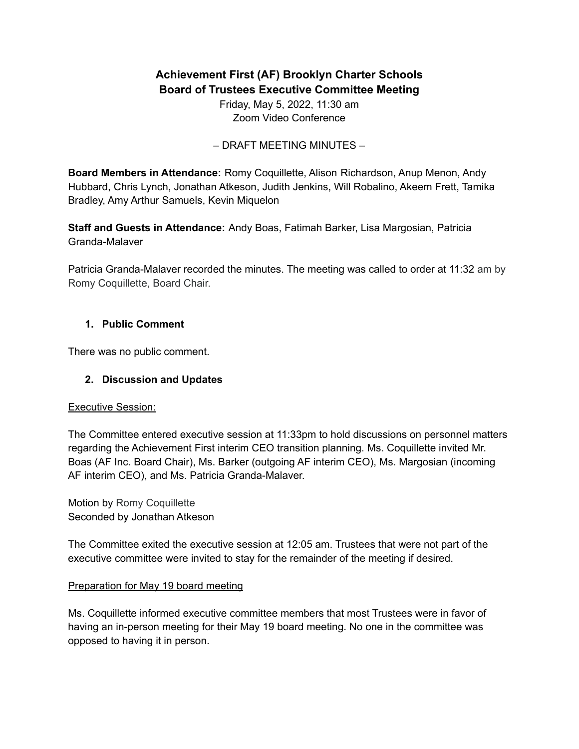# **Achievement First (AF) Brooklyn Charter Schools Board of Trustees Executive Committee Meeting**

Friday, May 5, 2022, 11:30 am Zoom Video Conference

– DRAFT MEETING MINUTES –

**Board Members in Attendance:** Romy Coquillette, Alison Richardson, Anup Menon, Andy Hubbard, Chris Lynch, Jonathan Atkeson, Judith Jenkins, Will Robalino, Akeem Frett, Tamika Bradley, Amy Arthur Samuels, Kevin Miquelon

**Staff and Guests in Attendance:** Andy Boas, Fatimah Barker, Lisa Margosian, Patricia Granda-Malaver

Patricia Granda-Malaver recorded the minutes. The meeting was called to order at 11:32 am by Romy Coquillette, Board Chair.

#### **1. Public Comment**

There was no public comment.

### **2. Discussion and Updates**

#### Executive Session:

The Committee entered executive session at 11:33pm to hold discussions on personnel matters regarding the Achievement First interim CEO transition planning. Ms. Coquillette invited Mr. Boas (AF Inc. Board Chair), Ms. Barker (outgoing AF interim CEO), Ms. Margosian (incoming AF interim CEO), and Ms. Patricia Granda-Malaver.

Motion by Romy Coquillette Seconded by Jonathan Atkeson

The Committee exited the executive session at 12:05 am. Trustees that were not part of the executive committee were invited to stay for the remainder of the meeting if desired.

#### Preparation for May 19 board meeting

Ms. Coquillette informed executive committee members that most Trustees were in favor of having an in-person meeting for their May 19 board meeting. No one in the committee was opposed to having it in person.